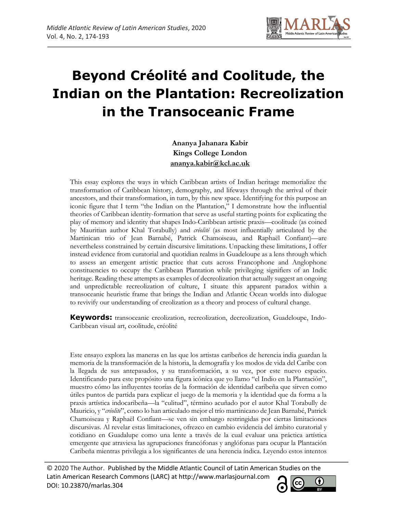

# **Beyond Créolité and Coolitude, the Indian on the Plantation: Recreolization in the Transoceanic Frame**

**Ananya Jahanara Kabir Kings College London ananya.kabir@kcl.ac.uk**

This essay explores the ways in which Caribbean artists of Indian heritage memorialize the transformation of Caribbean history, demography, and lifeways through the arrival of their ancestors, and their transformation, in turn, by this new space. Identifying for this purpose an iconic figure that I term "the Indian on the Plantation," I demonstrate how the influential theories of Caribbean identity-formation that serve as useful starting points for explicating the play of memory and identity that shapes Indo-Caribbean artistic praxis—coolitude (as coined by Mauritian author Khal Torabully) and *créolité* (as most influentially articulated by the Martinican trio of Jean Barnabé, Patrick Chamoiseau, and Raphaël Confiant)—are nevertheless constrained by certain discursive limitations. Unpacking these limitations, I offer instead evidence from curatorial and quotidian realms in Guadeloupe as a lens through which to assess an emergent artistic practice that cuts across Francophone and Anglophone constituencies to occupy the Caribbean Plantation while privileging signifiers of an Indic heritage. Reading these attempts as examples of decreolization that actually suggest an ongoing and unpredictable recreolization of culture, I situate this apparent paradox within a transoceanic heuristic frame that brings the Indian and Atlantic Ocean worlds into dialogue to revivify our understanding of creolization as a theory and process of cultural change.

**Keywords:** transoceanic creolization, recreolization, decreolization, Guadeloupe, Indo-Caribbean visual art, coolitude, créolité

Este ensayo explora las maneras en las que los artistas caribeños de herencia india guardan la memoria de la transformación de la historia, la demografía y los modos de vida del Caribe con la llegada de sus antepasados, y su transformación, a su vez, por este nuevo espacio. Identificando para este propósito una figura icónica que yo llamo "el Indio en la Plantación", muestro cómo las influyentes teorías de la formación de identidad caribeña que sirven como útiles puntos de partida para explicar el juego de la memoria y la identidad que da forma a la praxis artística indocaribeña—la "culitud", término acuñado por el autor Khal Torabully de Mauricio, y "*créolité*", como lo han articulado mejor el trío martinicano de Jean Barnabé, Patrick Chamoiseau y Raphaël Confiant—se ven sin embargo restringidas por ciertas limitaciones discursivas. Al revelar estas limitaciones, ofrezco en cambio evidencia del ámbito curatorial y cotidiano en Guadalupe como una lente a través de la cual evaluar una práctica artística emergente que atraviesa las agrupaciones francófonas y anglófonas para ocupar la Plantación Caribeña mientras privilegia a los significantes de una herencia índica. Leyendo estos intentos

© 2020 The Author. Published by the Middle Atlantic Council of Latin American Studies on the Latin American Research Commons (LARC) at http://www.marlasjournal.com DOI: 10.23870/marlas.304

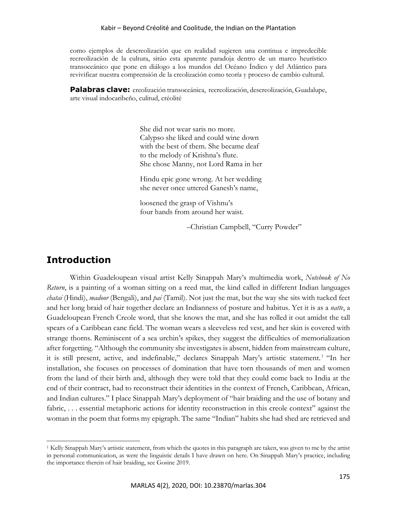#### Kabir – Beyond Créolité and Coolitude, the Indian on the Plantation

como ejemplos de descreolización que en realidad sugieren una continua e impredecible recreolización de la cultura, sitúo esta aparente paradoja dentro de un marco heurístico transoceánico que pone en diálogo a los mundos del Océano Índico y del Atlántico para revivificar nuestra comprensión de la creolización como teoría y proceso de cambio cultural.

**Palabras clave:** creolización transoceánica, recreolización, descreolización, Guadalupe, arte visual indocaribeño, culitud, créolité

> She did not wear saris no more. Calypso she liked and could wine down with the best of them. She became deaf to the melody of Krishna's flute. She chose Manny, not Lord Rama in her

> Hindu epic gone wrong. At her wedding she never once uttered Ganesh's name,

loosened the grasp of Vishnu's four hands from around her waist.

–Christian Campbell, "Curry Powder"

# **Introduction**

Within Guadeloupean visual artist Kelly Sinappah Mary's multimedia work, *Notebook of No Return*, is a painting of a woman sitting on a reed mat, the kind called in different Indian languages *chatai* (Hindi), *madoor* (Bengali), and *pai* (Tamil). Not just the mat, but the way she sits with tucked feet and her long braid of hair together declare an Indianness of posture and habitus. Yet it is as a *natte*, a Guadeloupean French Creole word, that she knows the mat, and she has rolled it out amidst the tall spears of a Caribbean cane field. The woman wears a sleeveless red vest, and her skin is covered with strange thorns. Reminiscent of a sea urchin's spikes, they suggest the difficulties of memorialization after forgetting. "Although the community she investigates is absent, hidden from mainstream culture, it is still present, active, and indefinable," declares Sinappah Mary's artistic statement. <sup>1</sup> "In her installation, she focuses on processes of domination that have torn thousands of men and women from the land of their birth and, although they were told that they could come back to India at the end of their contract, had to reconstruct their identities in the context of French, Caribbean, African, and Indian cultures." I place Sinappah Mary's deployment of "hair braiding and the use of botany and fabric, ... essential metaphoric actions for identity reconstruction in this creole context" against the woman in the poem that forms my epigraph. The same "Indian" habits she had shed are retrieved and

 $<sup>1</sup>$  Kelly Sinappah Mary's artistic statement, from which the quotes in this paragraph are taken, was given to me by the artist</sup> in personal communication, as were the linguistic details I have drawn on here. On Sinappah Mary's practice, including the importance therein of hair braiding, see Gosine 2019.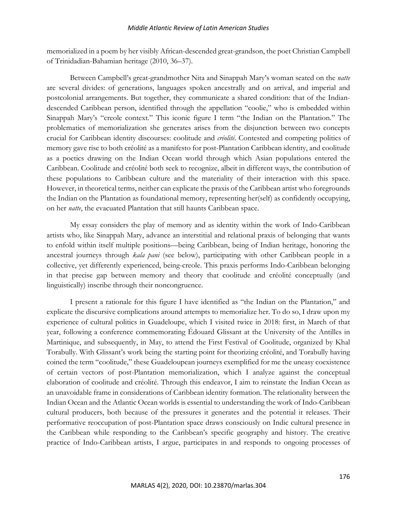memorialized in a poem by her visibly African-descended great-grandson, the poet Christian Campbell of Trinidadian-Bahamian heritage (2010, 36–37).

Between Campbell's great-grandmother Nita and Sinappah Mary's woman seated on the *natte* are several divides: of generations, languages spoken ancestrally and on arrival, and imperial and postcolonial arrangements. But together, they communicate a shared condition: that of the Indiandescended Caribbean person, identified through the appellation "coolie," who is embedded within Sinappah Mary's "creole context." This iconic figure I term "the Indian on the Plantation." The problematics of memorialization she generates arises from the disjunction between two concepts crucial for Caribbean identity discourses: coolitude and *créolité*. Contested and competing politics of memory gave rise to both créolité as a manifesto for post-Plantation Caribbean identity, and coolitude as a poetics drawing on the Indian Ocean world through which Asian populations entered the Caribbean. Coolitude and créolité both seek to recognize, albeit in different ways, the contribution of these populations to Caribbean culture and the materiality of their interaction with this space. However, in theoretical terms, neither can explicate the praxis of the Caribbean artist who foregrounds the Indian on the Plantation as foundational memory, representing her(self) as confidently occupying, on her *natte*, the evacuated Plantation that still haunts Caribbean space.

My essay considers the play of memory and as identity within the work of Indo-Caribbean artists who, like Sinappah Mary, advance an interstitial and relational praxis of belonging that wants to enfold within itself multiple positions—being Caribbean, being of Indian heritage, honoring the ancestral journeys through *kala pani* (see below), participating with other Caribbean people in a collective, yet differently experienced, being-creole. This praxis performs Indo-Caribbean belonging in that precise gap between memory and theory that coolitude and créolité conceptually (and linguistically) inscribe through their noncongruence.

I present a rationale for this figure I have identified as "the Indian on the Plantation," and explicate the discursive complications around attempts to memorialize her. To do so, I draw upon my experience of cultural politics in Guadeloupe, which I visited twice in 2018: first, in March of that year, following a conference commemorating Édouard Glissant at the University of the Antilles in Martinique, and subsequently, in May, to attend the First Festival of Coolitude, organized by Khal Torabully. With Glissant's work being the starting point for theorizing créolité, and Torabully having coined the term "coolitude," these Guadeloupean journeys exemplified for me the uneasy coexistence of certain vectors of post-Plantation memorialization, which I analyze against the conceptual elaboration of coolitude and créolité. Through this endeavor, I aim to reinstate the Indian Ocean as an unavoidable frame in considerations of Caribbean identity formation. The relationality between the Indian Ocean and the Atlantic Ocean worlds is essential to understanding the work of Indo-Caribbean cultural producers, both because of the pressures it generates and the potential it releases. Their performative reoccupation of post-Plantation space draws consciously on Indic cultural presence in the Caribbean while responding to the Caribbean's specific geography and history. The creative practice of Indo-Caribbean artists, I argue, participates in and responds to ongoing processes of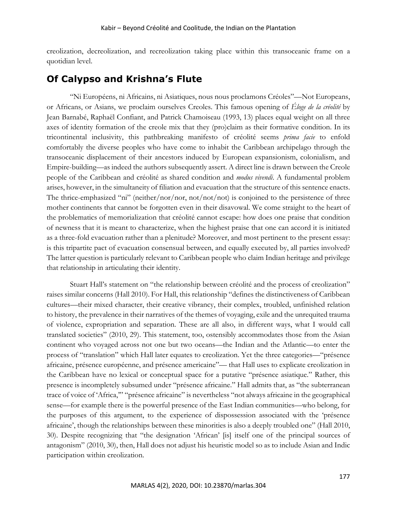creolization, decreolization, and recreolization taking place within this transoceanic frame on a quotidian level.

# **Of Calypso and Krishna's Flute**

"Ni Européens, ni Africains, ni Asiatiques, nous nous proclamons Créoles"—Not Europeans, or Africans, or Asians, we proclaim ourselves Creoles. This famous opening of *Éloge de la créolité* by Jean Barnabé, Raphaël Confiant, and Patrick Chamoiseau (1993, 13) places equal weight on all three axes of identity formation of the creole mix that they (pro)claim as their formative condition. In its tricontinental inclusivity, this pathbreaking manifesto of créolité seems *prima facie* to enfold comfortably the diverse peoples who have come to inhabit the Caribbean archipelago through the transoceanic displacement of their ancestors induced by European expansionism, colonialism, and Empire-building—as indeed the authors subsequently assert. A direct line is drawn between the Creole people of the Caribbean and créolité as shared condition and *modus vivendi*. A fundamental problem arises, however, in the simultaneity of filiation and evacuation that the structure of this sentence enacts. The thrice-emphasized "ni" (neither/nor/nor, not/not/not) is conjoined to the persistence of three mother continents that cannot be forgotten even in their disavowal. We come straight to the heart of the problematics of memorialization that créolité cannot escape: how does one praise that condition of newness that it is meant to characterize, when the highest praise that one can accord it is initiated as a three-fold evacuation rather than a plenitude? Moreover, and most pertinent to the present essay: is this tripartite pact of evacuation consensual between, and equally executed by, all parties involved? The latter question is particularly relevant to Caribbean people who claim Indian heritage and privilege that relationship in articulating their identity.

Stuart Hall's statement on "the relationship between créolité and the process of creolization" raises similar concerns (Hall 2010). For Hall, this relationship "defines the distinctiveness of Caribbean cultures—their mixed character, their creative vibrancy, their complex, troubled, unfinished relation to history, the prevalence in their narratives of the themes of voyaging, exile and the unrequited trauma of violence, expropriation and separation. These are all also, in different ways, what I would call translated societies" (2010, 29). This statement, too, ostensibly accommodates those from the Asian continent who voyaged across not one but two oceans—the Indian and the Atlantic—to enter the process of "translation" which Hall later equates to creolization. Yet the three categories—"présence africaine, présence européenne, and présence americaine"— that Hall uses to explicate creolization in the Caribbean have no lexical or conceptual space for a putative "présence asiatique." Rather, this presence is incompletely subsumed under "présence africaine." Hall admits that, as "the subterranean trace of voice of 'Africa,'" "présence africaine" is nevertheless "not always africaine in the geographical sense—for example there is the powerful presence of the East Indian communities—who belong, for the purposes of this argument, to the experience of dispossession associated with the 'présence africaine', though the relationships between these minorities is also a deeply troubled one" (Hall 2010, 30). Despite recognizing that "the designation 'African' [is] itself one of the principal sources of antagonism" (2010, 30), then, Hall does not adjust his heuristic model so as to include Asian and Indic participation within creolization.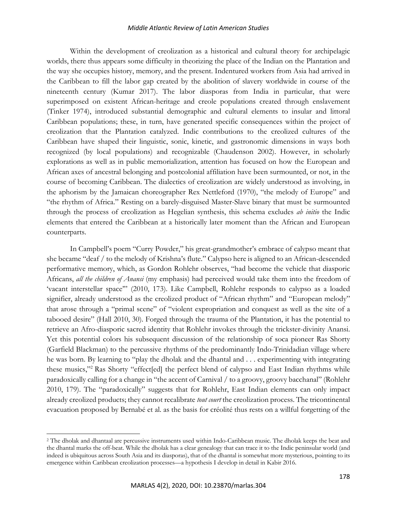Within the development of creolization as a historical and cultural theory for archipelagic worlds, there thus appears some difficulty in theorizing the place of the Indian on the Plantation and the way she occupies history, memory, and the present. Indentured workers from Asia had arrived in the Caribbean to fill the labor gap created by the abolition of slavery worldwide in course of the nineteenth century (Kumar 2017). The labor diasporas from India in particular, that were superimposed on existent African-heritage and creole populations created through enslavement (Tinker 1974), introduced substantial demographic and cultural elements to insular and littoral Caribbean populations; these, in turn, have generated specific consequences within the project of creolization that the Plantation catalyzed. Indic contributions to the creolized cultures of the Caribbean have shaped their linguistic, sonic, kinetic, and gastronomic dimensions in ways both recognized (by local populations) and recognizable (Chaudenson 2002). However, in scholarly explorations as well as in public memorialization, attention has focused on how the European and African axes of ancestral belonging and postcolonial affiliation have been surmounted, or not, in the course of becoming Caribbean. The dialectics of creolization are widely understood as involving, in the aphorism by the Jamaican choreographer Rex Nettleford (1970), "the melody of Europe" and "the rhythm of Africa." Resting on a barely-disguised Master-Slave binary that must be surmounted through the process of creolization as Hegelian synthesis, this schema excludes *ab initio* the Indic elements that entered the Caribbean at a historically later moment than the African and European counterparts.

In Campbell's poem "Curry Powder," his great-grandmother's embrace of calypso meant that she became "deaf / to the melody of Krishna's flute." Calypso here is aligned to an African-descended performative memory, which, as Gordon Rohlehr observes, "had become the vehicle that diasporic Africans, *all the children of Anansi* (my emphasis) had perceived would take them into the freedom of 'vacant interstellar space'" (2010, 173). Like Campbell, Rohlehr responds to calypso as a loaded signifier, already understood as the creolized product of "African rhythm" and "European melody" that arose through a "primal scene" of "violent expropriation and conquest as well as the site of a tabooed desire" (Hall 2010, 30). Forged through the trauma of the Plantation, it has the potential to retrieve an Afro-diasporic sacred identity that Rohlehr invokes through the trickster-divinity Anansi. Yet this potential colors his subsequent discussion of the relationship of soca pioneer Ras Shorty (Garfield Blackman) to the percussive rhythms of the predominantly Indo-Trinidadian village where he was born. By learning to "play the dholak and the dhantal and . . . experimenting with integrating these musics,"2 Ras Shorty "effect[ed] the perfect blend of calypso and East Indian rhythms while paradoxically calling for a change in "the accent of Carnival / to a groovy, groovy bacchanal" (Rohlehr 2010, 179). The "paradoxically" suggests that for Rohlehr, East Indian elements can only impact already creolized products; they cannot recalibrate *tout court* the creolization process. The tricontinental evacuation proposed by Bernabé et al. as the basis for créolité thus rests on a willful forgetting of the

<sup>2</sup> The dholak and dhantaal are percussive instruments used within Indo-Caribbean music. The dholak keeps the beat and the dhantal marks the off-beat. While the dholak has a clear genealogy that can trace it to the Indic peninsular world (and indeed is ubiquitous across South Asia and its diasporas), that of the dhantal is somewhat more mysterious, pointing to its emergence within Caribbean creolization processes—a hypothesis I develop in detail in Kabir 2016.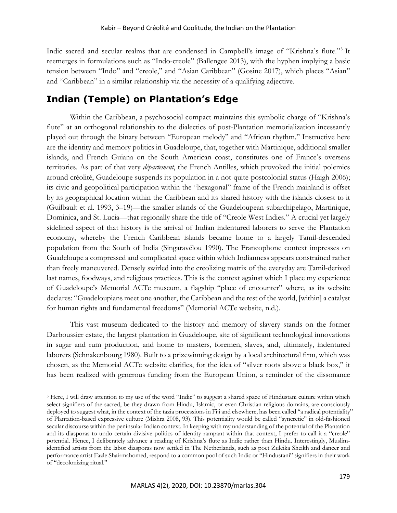Indic sacred and secular realms that are condensed in Campbell's image of "Krishna's flute."3 It reemerges in formulations such as "Indo-creole" (Ballengee 2013), with the hyphen implying a basic tension between "Indo" and "creole," and "Asian Caribbean" (Gosine 2017), which places "Asian" and "Caribbean" in a similar relationship via the necessity of a qualifying adjective.

# **Indian (Temple) on Plantation's Edge**

Within the Caribbean, a psychosocial compact maintains this symbolic charge of "Krishna's flute" at an orthogonal relationship to the dialectics of post-Plantation memorialization incessantly played out through the binary between "European melody" and "African rhythm." Instructive here are the identity and memory politics in Guadeloupe, that, together with Martinique, additional smaller islands, and French Guiana on the South American coast, constitutes one of France's overseas territories. As part of that very *département*, the French Antilles, which provoked the initial polemics around créolité, Guadeloupe suspends its population in a not-quite-postcolonial status (Haigh 2006); its civic and geopolitical participation within the "hexagonal" frame of the French mainland is offset by its geographical location within the Caribbean and its shared history with the islands closest to it (Guilbault et al. 1993, 3–19)—the smaller islands of the Guadeloupean subarchipelago, Martinique, Dominica, and St. Lucia—that regionally share the title of "Creole West Indies." A crucial yet largely sidelined aspect of that history is the arrival of Indian indentured laborers to serve the Plantation economy, whereby the French Caribbean islands became home to a largely Tamil-descended population from the South of India (Singaravélou 1990). The Francophone context impresses on Guadeloupe a compressed and complicated space within which Indianness appears constrained rather than freely maneuvered. Densely swirled into the creolizing matrix of the everyday are Tamil-derived last names, foodways, and religious practices. This is the context against which I place my experience of Guadeloupe's Memorial ACTe museum, a flagship "place of encounter" where, as its website declares: "Guadeloupians meet one another, the Caribbean and the rest of the world, [within] a catalyst for human rights and fundamental freedoms" (Memorial ACTe website, n.d.).

This vast museum dedicated to the history and memory of slavery stands on the former Darboussier estate, the largest plantation in Guadeloupe, site of significant technological innovations in sugar and rum production, and home to masters, foremen, slaves, and, ultimately, indentured laborers (Schnakenbourg 1980). Built to a prizewinning design by a local architectural firm, which was chosen, as the Memorial ACTe website clarifies, for the idea of "silver roots above a black box," it has been realized with generous funding from the European Union, a reminder of the dissonance

<sup>&</sup>lt;sup>3</sup> Here, I will draw attention to my use of the word "Indic" to suggest a shared space of Hindustani culture within which select signifiers of the sacred, be they drawn from Hindu, Islamic, or even Christian religious domains, are consciously deployed to suggest what, in the context of the tazia processions in Fiji and elsewhere, has been called "a radical potentiality" of Plantation-based expressive culture (Mishra 2008, 93). This potentiality would be called "syncretic" in old-fashioned secular discourse within the peninsular Indian context. In keeping with my understanding of the potential of the Plantation and its diasporas to undo certain divisive politics of identity rampant within that context, I prefer to call it a "creole" potential. Hence, I deliberately advance a reading of Krishna's flute as Indic rather than Hindu. Interestingly, Muslimidentified artists from the labor diasporas now settled in The Netherlands, such as poet Zuleika Sheikh and dancer and performance artist Fazle Shairmahomed, respond to a common pool of such Indic or "Hindustani" signifiers in their work of "decolonizing ritual."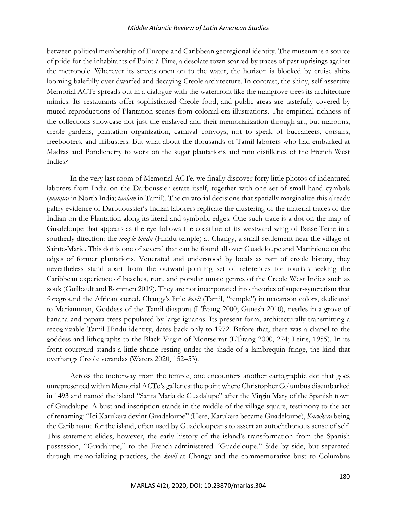between political membership of Europe and Caribbean georegional identity. The museum is a source of pride for the inhabitants of Point-à-Pitre, a desolate town scarred by traces of past uprisings against the metropole. Wherever its streets open on to the water, the horizon is blocked by cruise ships looming balefully over dwarfed and decaying Creole architecture. In contrast, the shiny, self-assertive Memorial ACTe spreads out in a dialogue with the waterfront like the mangrove trees its architecture mimics. Its restaurants offer sophisticated Creole food, and public areas are tastefully covered by muted reproductions of Plantation scenes from colonial-era illustrations. The empirical richness of the collections showcase not just the enslaved and their memorialization through art, but maroons, creole gardens, plantation organization, carnival convoys, not to speak of buccaneers, corsairs, freebooters, and filibusters. But what about the thousands of Tamil laborers who had embarked at Madras and Pondicherry to work on the sugar plantations and rum distilleries of the French West Indies?

In the very last room of Memorial ACTe, we finally discover forty little photos of indentured laborers from India on the Darboussier estate itself, together with one set of small hand cymbals (*manjira* in North India; *taalam* in Tamil). The curatorial decisions that spatially marginalize this already paltry evidence of Darbuoussier's Indian laborers replicate the clustering of the material traces of the Indian on the Plantation along its literal and symbolic edges. One such trace is a dot on the map of Guadeloupe that appears as the eye follows the coastline of its westward wing of Basse-Terre in a southerly direction: the *temple hindu* (Hindu temple) at Changy, a small settlement near the village of Sainte-Marie. This dot is one of several that can be found all over Guadeloupe and Martinique on the edges of former plantations. Venerated and understood by locals as part of creole history, they nevertheless stand apart from the outward-pointing set of references for tourists seeking the Caribbean experience of beaches, rum, and popular music genres of the Creole West Indies such as zouk (Guilbault and Rommen 2019). They are not incorporated into theories of super-syncretism that foreground the African sacred. Changy's little *kovil* (Tamil, "temple") in macaroon colors, dedicated to Mariammen, Goddess of the Tamil diaspora (L'Étang 2000; Ganesh 2010), nestles in a grove of banana and papaya trees populated by large iguanas. Its present form, architecturally transmitting a recognizable Tamil Hindu identity, dates back only to 1972. Before that, there was a chapel to the goddess and lithographs to the Black Virgin of Montserrat (L'Étang 2000, 274; Leiris, 1955). In its front courtyard stands a little shrine resting under the shade of a lambrequin fringe, the kind that overhangs Creole verandas (Waters 2020, 152–53).

Across the motorway from the temple, one encounters another cartographic dot that goes unrepresented within Memorial ACTe's galleries: the point where Christopher Columbus disembarked in 1493 and named the island "Santa Maria de Guadalupe" after the Virgin Mary of the Spanish town of Guadalupe. A bust and inscription stands in the middle of the village square, testimony to the act of renaming: "Ici Karukera devint Guadeloupe" (Here, Karukera became Guadeloupe), *Karukera* being the Carib name for the island, often used by Guadeloupeans to assert an autochthonous sense of self. This statement elides, however, the early history of the island's transformation from the Spanish possession, "Guadalupe," to the French-administered "Guadeloupe." Side by side, but separated through memorializing practices, the *kovil* at Changy and the commemorative bust to Columbus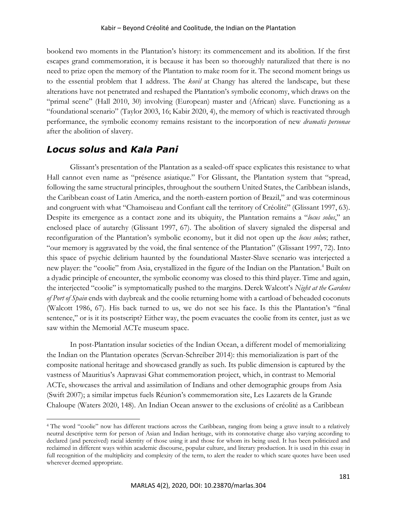bookend two moments in the Plantation's history: its commencement and its abolition. If the first escapes grand commemoration, it is because it has been so thoroughly naturalized that there is no need to prize open the memory of the Plantation to make room for it. The second moment brings us to the essential problem that I address. The *kovil* at Changy has altered the landscape, but these alterations have not penetrated and reshaped the Plantation's symbolic economy, which draws on the "primal scene" (Hall 2010, 30) involving (European) master and (African) slave. Functioning as a "foundational scenario" (Taylor 2003, 16; Kabir 2020, 4), the memory of which is reactivated through performance, the symbolic economy remains resistant to the incorporation of new *dramatis personae* after the abolition of slavery.

# *Locus solus* **and** *Kala Pani*

Glissant's presentation of the Plantation as a sealed-off space explicates this resistance to what Hall cannot even name as "présence asiatique." For Glissant, the Plantation system that "spread, following the same structural principles, throughout the southern United States, the Caribbean islands, the Caribbean coast of Latin America, and the north-eastern portion of Brazil," and was coterminous and congruent with what "Chamoiseau and Confiant call the territory of Créolité" (Glissant 1997, 63). Despite its emergence as a contact zone and its ubiquity, the Plantation remains a "*locus solus*," an enclosed place of autarchy (Glissant 1997, 67). The abolition of slavery signaled the dispersal and reconfiguration of the Plantation's symbolic economy, but it did not open up the *locus solu*s; rather, "our memory is aggravated by the void, the final sentence of the Plantation" (Glissant 1997, 72). Into this space of psychic delirium haunted by the foundational Master-Slave scenario was interjected a new player: the "coolie" from Asia, crystallized in the figure of the Indian on the Plantation.<sup>4</sup> Built on a dyadic principle of encounter, the symbolic economy was closed to this third player. Time and again, the interjected "coolie" is symptomatically pushed to the margins. Derek Walcott's *Night at the Gardens of Port of Spain* ends with daybreak and the coolie returning home with a cartload of beheaded coconuts (Walcott 1986, 67). His back turned to us, we do not see his face. Is this the Plantation's "final sentence," or is it its postscript? Either way, the poem evacuates the coolie from its center, just as we saw within the Memorial ACTe museum space.

In post-Plantation insular societies of the Indian Ocean, a different model of memorializing the Indian on the Plantation operates (Servan-Schreiber 2014): this memorialization is part of the composite national heritage and showcased grandly as such. Its public dimension is captured by the vastness of Mauritius's Aapravasi Ghat commemoration project, which, in contrast to Memorial ACTe, showcases the arrival and assimilation of Indians and other demographic groups from Asia (Swift 2007); a similar impetus fuels Réunion's commemoration site, Les Lazarets de la Grande Chaloupe (Waters 2020, 148). An Indian Ocean answer to the exclusions of créolité as a Caribbean

<sup>4</sup> The word "coolie" now has different tractions across the Caribbean, ranging from being a grave insult to a relatively neutral descriptive term for person of Asian and Indian heritage, with its connotative charge also varying according to declared (and perceived) racial identity of those using it and those for whom its being used. It has been politicized and reclaimed in different ways within academic discourse, popular culture, and literary production. It is used in this essay in full recognition of the multiplicity and complexity of the term, to alert the reader to which scare quotes have been used wherever deemed appropriate.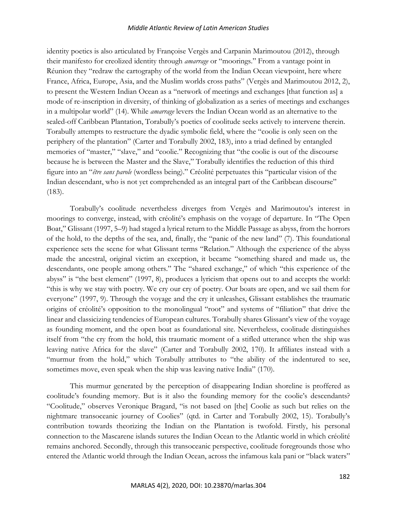identity poetics is also articulated by Françoise Vergès and Carpanin Marimoutou (2012), through their manifesto for creolized identity through *amarrage* or "moorings." From a vantage point in Réunion they "redraw the cartography of the world from the Indian Ocean viewpoint, here where France, Africa, Europe, Asia, and the Muslim worlds cross paths" (Vergès and Marimoutou 2012, 2), to present the Western Indian Ocean as a "network of meetings and exchanges [that function as] a mode of re-inscription in diversity, of thinking of globalization as a series of meetings and exchanges in a multipolar world" (14). While *amarrage* levers the Indian Ocean world as an alternative to the sealed-off Caribbean Plantation, Torabully's poetics of coolitude seeks actively to intervene therein. Torabully attempts to restructure the dyadic symbolic field, where the "coolie is only seen on the periphery of the plantation" (Carter and Torabully 2002, 183), into a triad defined by entangled memories of "master," "slave," and "coolie." Recognizing that "the coolie is out of the discourse because he is between the Master and the Slave," Torabully identifies the reduction of this third figure into an "*être sans parole* (wordless being)." Créolité perpetuates this "particular vision of the Indian descendant, who is not yet comprehended as an integral part of the Caribbean discourse" (183).

Torabully's coolitude nevertheless diverges from Vergès and Marimoutou's interest in moorings to converge, instead, with créolité's emphasis on the voyage of departure. In "The Open Boat," Glissant (1997, 5–9) had staged a lyrical return to the Middle Passage as abyss, from the horrors of the hold, to the depths of the sea, and, finally, the "panic of the new land" (7). This foundational experience sets the scene for what Glissant terms "Relation." Although the experience of the abyss made the ancestral, original victim an exception, it became "something shared and made us, the descendants, one people among others." The "shared exchange," of which "this experience of the abyss" is "the best element" (1997, 8), produces a lyricism that opens out to and accepts the world: "this is why we stay with poetry. We cry our cry of poetry. Our boats are open, and we sail them for everyone" (1997, 9). Through the voyage and the cry it unleashes, Glissant establishes the traumatic origins of créolité's opposition to the monolingual "root" and systems of "filiation" that drive the linear and classicizing tendencies of European cultures. Torabully shares Glissant's view of the voyage as founding moment, and the open boat as foundational site. Nevertheless, coolitude distinguishes itself from "the cry from the hold, this traumatic moment of a stifled utterance when the ship was leaving native Africa for the slave" (Carter and Torabully 2002, 170). It affiliates instead with a "murmur from the hold," which Torabully attributes to "the ability of the indentured to see, sometimes move, even speak when the ship was leaving native India" (170).

This murmur generated by the perception of disappearing Indian shoreline is proffered as coolitude's founding memory. But is it also the founding memory for the coolie's descendants? "Coolitude," observes Veronique Bragard, "is not based on [the] Coolie as such but relies on the nightmare transoceanic journey of Coolies" (qtd. in Carter and Torabully 2002, 15). Torabully's contribution towards theorizing the Indian on the Plantation is twofold. Firstly, his personal connection to the Mascarene islands sutures the Indian Ocean to the Atlantic world in which créolité remains anchored. Secondly, through this transoceanic perspective, coolitude foregrounds those who entered the Atlantic world through the Indian Ocean, across the infamous kala pani or "black waters"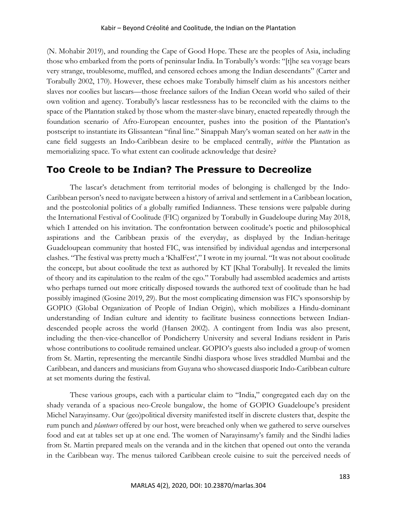(N. Mohabir 2019), and rounding the Cape of Good Hope. These are the peoples of Asia, including those who embarked from the ports of peninsular India. In Torabully's words: "[t]he sea voyage bears very strange, troublesome, muffled, and censored echoes among the Indian descendants" (Carter and Torabully 2002, 170). However, these echoes make Torabully himself claim as his ancestors neither slaves nor coolies but lascars—those freelance sailors of the Indian Ocean world who sailed of their own volition and agency. Torabully's lascar restlessness has to be reconciled with the claims to the space of the Plantation staked by those whom the master-slave binary, enacted repeatedly through the foundation scenario of Afro-European encounter, pushes into the position of the Plantation's postscript to instantiate its Glissantean "final line." Sinappah Mary's woman seated on her *natte* in the cane field suggests an Indo-Caribbean desire to be emplaced centrally, *within* the Plantation as memorializing space. To what extent can coolitude acknowledge that desire?

# **Too Creole to be Indian? The Pressure to Decreolize**

The lascar's detachment from territorial modes of belonging is challenged by the Indo-Caribbean person's need to navigate between a history of arrival and settlement in a Caribbean location, and the postcolonial politics of a globally ramified Indianness. These tensions were palpable during the International Festival of Coolitude (FIC) organized by Torabully in Guadeloupe during May 2018, which I attended on his invitation. The confrontation between coolitude's poetic and philosophical aspirations and the Caribbean praxis of the everyday, as displayed by the Indian-heritage Guadeloupean community that hosted FIC, was intensified by individual agendas and interpersonal clashes. "The festival was pretty much a 'KhalFest'," I wrote in my journal. "It was not about coolitude the concept, but about coolitude the text as authored by KT [Khal Torabully]. It revealed the limits of theory and its capitulation to the realm of the ego." Torabully had assembled academics and artists who perhaps turned out more critically disposed towards the authored text of coolitude than he had possibly imagined (Gosine 2019, 29). But the most complicating dimension was FIC's sponsorship by GOPIO (Global Organization of People of Indian Origin), which mobilizes a Hindu-dominant understanding of Indian culture and identity to facilitate business connections between Indiandescended people across the world (Hansen 2002). A contingent from India was also present, including the then-vice-chancellor of Pondicherry University and several Indians resident in Paris whose contributions to coolitude remained unclear. GOPIO's guests also included a group of women from St. Martin, representing the mercantile Sindhi diaspora whose lives straddled Mumbai and the Caribbean, and dancers and musicians from Guyana who showcased diasporic Indo-Caribbean culture at set moments during the festival.

These various groups, each with a particular claim to "India," congregated each day on the shady veranda of a spacious neo-Creole bungalow, the home of GOPIO Guadeloupe's president Michel Narayinsamy. Our (geo)political diversity manifested itself in discrete clusters that, despite the rum punch and *planteurs* offered by our host, were breached only when we gathered to serve ourselves food and eat at tables set up at one end. The women of Narayinsamy's family and the Sindhi ladies from St. Martin prepared meals on the veranda and in the kitchen that opened out onto the veranda in the Caribbean way. The menus tailored Caribbean creole cuisine to suit the perceived needs of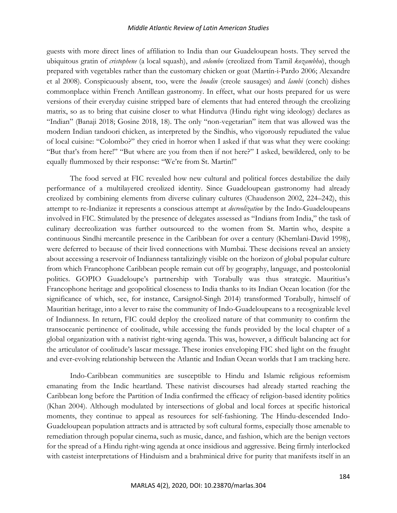guests with more direct lines of affiliation to India than our Guadeloupean hosts. They served the ubiquitous gratin of *cristophene* (a local squash), and *colombo* (creolized from Tamil *kozambhu*), though prepared with vegetables rather than the customary chicken or goat (Martín-i-Pardo 2006; Alexandre et al 2008). Conspicuously absent, too, were the *boudin* (creole sausages) and *lambi* (conch) dishes commonplace within French Antillean gastronomy. In effect, what our hosts prepared for us were versions of their everyday cuisine stripped bare of elements that had entered through the creolizing matrix, so as to bring that cuisine closer to what Hindutva (Hindu right wing ideology) declares as "Indian" (Banaji 2018; Gosine 2018, 18). The only "non-vegetarian" item that was allowed was the modern Indian tandoori chicken, as interpreted by the Sindhis, who vigorously repudiated the value of local cuisine: "Colombo?" they cried in horror when I asked if that was what they were cooking: "But that's from here!" "But where are you from then if not here?" I asked, bewildered, only to be equally flummoxed by their response: "We're from St. Martin!"

The food served at FIC revealed how new cultural and political forces destabilize the daily performance of a multilayered creolized identity. Since Guadeloupean gastronomy had already creolized by combining elements from diverse culinary cultures (Chaudenson 2002, 224–242), this attempt to re-Indianize it represents a conscious attempt at *decreolization* by the Indo-Guadeloupeans involved in FIC. Stimulated by the presence of delegates assessed as "Indians from India," the task of culinary decreolization was further outsourced to the women from St. Martin who, despite a continuous Sindhi mercantile presence in the Caribbean for over a century (Khemlani-David 1998), were deferred to because of their lived connections with Mumbai. These decisions reveal an anxiety about accessing a reservoir of Indianness tantalizingly visible on the horizon of global popular culture from which Francophone Caribbean people remain cut off by geography, language, and postcolonial politics. GOPIO Guadeloupe's partnership with Torabully was thus strategic. Mauritius's Francophone heritage and geopolitical closeness to India thanks to its Indian Ocean location (for the significance of which, see, for instance, Carsignol-Singh 2014) transformed Torabully, himself of Mauritian heritage, into a lever to raise the community of Indo-Guadeloupeans to a recognizable level of Indianness. In return, FIC could deploy the creolized nature of that community to confirm the transoceanic pertinence of coolitude, while accessing the funds provided by the local chapter of a global organization with a nativist right-wing agenda. This was, however, a difficult balancing act for the articulator of coolitude's lascar message. These ironies enveloping FIC shed light on the fraught and ever-evolving relationship between the Atlantic and Indian Ocean worlds that I am tracking here.

Indo-Caribbean communities are susceptible to Hindu and Islamic religious reformism emanating from the Indic heartland. These nativist discourses had already started reaching the Caribbean long before the Partition of India confirmed the efficacy of religion-based identity politics (Khan 2004). Although modulated by intersections of global and local forces at specific historical moments, they continue to appeal as resources for self-fashioning. The Hindu-descended Indo-Guadeloupean population attracts and is attracted by soft cultural forms, especially those amenable to remediation through popular cinema, such as music, dance, and fashion, which are the benign vectors for the spread of a Hindu right-wing agenda at once insidious and aggressive. Being firmly interlocked with casteist interpretations of Hinduism and a brahminical drive for purity that manifests itself in an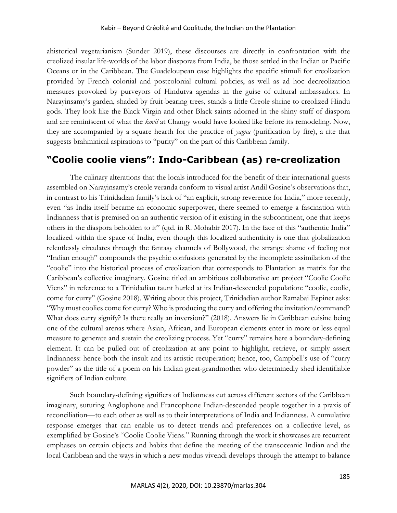ahistorical vegetarianism (Sunder 2019), these discourses are directly in confrontation with the creolized insular life-worlds of the labor diasporas from India, be those settled in the Indian or Pacific Oceans or in the Caribbean. The Guadeloupean case highlights the specific stimuli for creolization provided by French colonial and postcolonial cultural policies, as well as ad hoc decreolization measures provoked by purveyors of Hindutva agendas in the guise of cultural ambassadors. In Narayinsamy's garden, shaded by fruit-bearing trees, stands a little Creole shrine to creolized Hindu gods. They look like the Black Virgin and other Black saints adorned in the shiny stuff of diaspora and are reminiscent of what the *kovil* at Changy would have looked like before its remodeling. Now, they are accompanied by a square hearth for the practice of *yagna* (purification by fire), a rite that suggests brahminical aspirations to "purity" on the part of this Caribbean family.

# **"Coolie coolie viens": Indo-Caribbean (as) re-creolization**

The culinary alterations that the locals introduced for the benefit of their international guests assembled on Narayinsamy's creole veranda conform to visual artist Andil Gosine's observations that, in contrast to his Trinidadian family's lack of "an explicit, strong reverence for India," more recently, even "as India itself became an economic superpower, there seemed to emerge a fascination with Indianness that is premised on an authentic version of it existing in the subcontinent, one that keeps others in the diaspora beholden to it" (qtd. in R. Mohabir 2017). In the face of this "authentic India" localized within the space of India, even though this localized authenticity is one that globalization relentlessly circulates through the fantasy channels of Bollywood, the strange shame of feeling not "Indian enough" compounds the psychic confusions generated by the incomplete assimilation of the "coolie" into the historical process of creolization that corresponds to Plantation as matrix for the Caribbean's collective imaginary. Gosine titled an ambitious collaborative art project "Coolie Coolie Viens" in reference to a Trinidadian taunt hurled at its Indian-descended population: "coolie, coolie, come for curry" (Gosine 2018). Writing about this project, Trinidadian author Ramabai Espinet asks: "Why must coolies come for curry? Who is producing the curry and offering the invitation/command? What does curry signify? Is there really an inversion?" (2018). Answers lie in Caribbean cuisine being one of the cultural arenas where Asian, African, and European elements enter in more or less equal measure to generate and sustain the creolizing process. Yet "curry" remains here a boundary-defining element. It can be pulled out of creolization at any point to highlight, retrieve, or simply assert Indianness: hence both the insult and its artistic recuperation; hence, too, Campbell's use of "curry powder" as the title of a poem on his Indian great-grandmother who determinedly shed identifiable signifiers of Indian culture.

Such boundary-defining signifiers of Indianness cut across different sectors of the Caribbean imaginary, suturing Anglophone and Francophone Indian-descended people together in a praxis of reconciliation—to each other as well as to their interpretations of India and Indianness. A cumulative response emerges that can enable us to detect trends and preferences on a collective level, as exemplified by Gosine's "Coolie Coolie Viens." Running through the work it showcases are recurrent emphases on certain objects and habits that define the meeting of the transoceanic Indian and the local Caribbean and the ways in which a new modus vivendi develops through the attempt to balance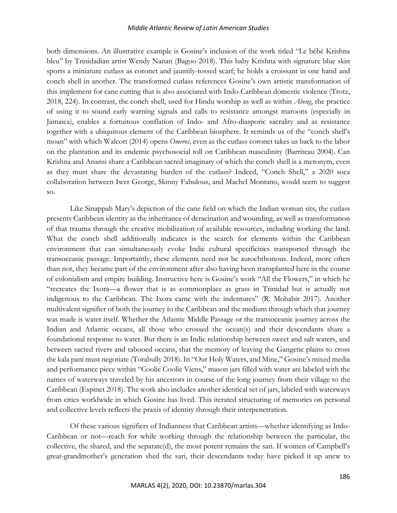both dimensions. An illustrative example is Gosine's inclusion of the work titled "Le bébé Krishna bleu" by Trinidadian artist Wendy Nanan (Bagoo 2018). This baby Krishna with signature blue skin sports a miniature cutlass as coronet and jauntily-tossed scarf; he holds a croissant in one hand and conch shell in another. The transformed cutlass references Gosine's own artistic transformation of this implement for cane cutting that is also associated with Indo-Caribbean domestic violence (Trotz, 2018, 224). In contrast, the conch shell, used for Hindu worship as well as within *Abeng*, the practice of using it to sound early warning signals and calls to resistance amongst maroons (especially in Jamaica), enables a fortuitous conflation of Indo- and Afro-diasporic sacrality and as resistance together with a ubiquitous element of the Caribbean biosphere. It reminds us of the "conch shell's moan" with which Walcott (2014) opens *Omeros*, even as the cutlass coronet takes us back to the labor on the plantation and its endemic psychosocial toll on Caribbean masculinity (Barriteau 2004). Can Krishna and Anansi share a Caribbean sacred imaginary of which the conch shell is a metonym, even as they must share the devastating burden of the cutlass? Indeed, "Conch Shell," a 2020 soca collaboration between Iwer George, Skinny Fabulous, and Machel Montano, would seem to suggest so.

Like Sinappah Mary's depiction of the cane field on which the Indian woman sits, the cutlass presents Caribbean identity as the inheritance of deracination and wounding, as well as transformation of that trauma through the creative mobilization of available resources, including working the land. What the conch shell additionally indicates is the search for elements within the Caribbean environment that can simultaneously evoke Indic cultural specificities transported through the transoceanic passage. Importantly, these elements need not be autochthonous. Indeed, more often than not, they became part of the environment after also having been transplanted here in the course of colonialism and empire building. Instructive here is Gosine's work "All the Flowers," in which he "recreates the Ixora—a flower that is as commonplace as grass in Trinidad but is actually not indigenous to the Caribbean. The Ixora came with the indentures" (R. Mohabir 2017). Another multivalent signifier of both the journey to the Caribbean and the medium through which that journey was made is water itself. Whether the Atlantic Middle Passage or the transoceanic journey across the Indian and Atlantic oceans, all those who crossed the ocean(s) and their descendants share a foundational response to water. But there is an Indic relationship between sweet and salt waters, and between sacred rivers and tabooed oceans, that the memory of leaving the Gangetic plains to cross the kala pani must negotiate (Torabully 2018). In "Our Holy Waters, and Mine," Gosine's mixed media and performance piece within "Coolie Coolie Viens," mason jars filled with water are labeled with the names of waterways traveled by his ancestors in course of the long journey from their village to the Caribbean (Espinet 2018). The work also includes another identical set of jars, labeled with waterways from cities worldwide in which Gosine has lived. This iterated structuring of memories on personal and collective levels reflects the praxis of identity through their interpenetration.

Of these various signifiers of Indianness that Caribbean artists—whether identifying as Indo-Caribbean or not—reach for while working through the relationship between the particular, the collective, the shared, and the separate(d), the most potent remains the sari. If women of Campbell's great-grandmother's generation shed the sari, their descendants today have picked it up anew to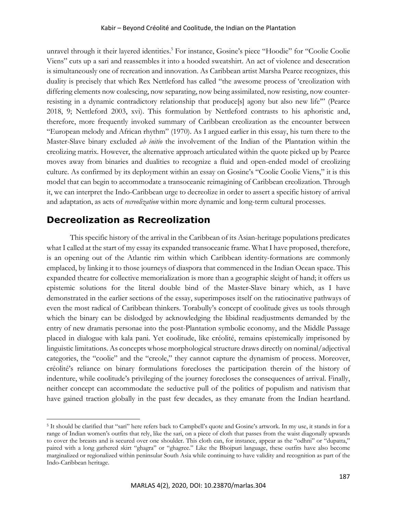#### Kabir – Beyond Créolité and Coolitude, the Indian on the Plantation

unravel through it their layered identities.<sup>5</sup> For instance, Gosine's piece "Hoodie" for "Coolie Coolie Viens" cuts up a sari and reassembles it into a hooded sweatshirt. An act of violence and desecration is simultaneously one of recreation and innovation. As Caribbean artist Marsha Pearce recognizes, this duality is precisely that which Rex Nettleford has called "the awesome process of 'creolization with differing elements now coalescing, now separating, now being assimilated, now resisting, now counterresisting in a dynamic contradictory relationship that produce[s] agony but also new life'" (Pearce 2018, 9; Nettleford 2003, xvi). This formulation by Nettleford contrasts to his aphoristic and, therefore, more frequently invoked summary of Caribbean creolization as the encounter between "European melody and African rhythm" (1970). As I argued earlier in this essay, his turn there to the Master-Slave binary excluded *ab initio* the involvement of the Indian of the Plantation within the creolizing matrix. However, the alternative approach articulated within the quote picked up by Pearce moves away from binaries and dualities to recognize a fluid and open-ended model of creolizing culture. As confirmed by its deployment within an essay on Gosine's "Coolie Coolie Viens," it is this model that can begin to accommodate a transoceanic reimagining of Caribbean creolization. Through it, we can interpret the Indo-Caribbean urge to decreolize in order to assert a specific history of arrival and adaptation, as acts of *recreolization* within more dynamic and long-term cultural processes.

# **Decreolization as Recreolization**

This specific history of the arrival in the Caribbean of its Asian-heritage populations predicates what I called at the start of my essay its expanded transoceanic frame. What I have proposed, therefore, is an opening out of the Atlantic rim within which Caribbean identity-formations are commonly emplaced, by linking it to those journeys of diaspora that commenced in the Indian Ocean space. This expanded theatre for collective memorialization is more than a geographic sleight of hand; it offers us epistemic solutions for the literal double bind of the Master-Slave binary which, as I have demonstrated in the earlier sections of the essay, superimposes itself on the ratiocinative pathways of even the most radical of Caribbean thinkers. Torabully's concept of coolitude gives us tools through which the binary can be dislodged by acknowledging the libidinal readjustments demanded by the entry of new dramatis personae into the post-Plantation symbolic economy, and the Middle Passage placed in dialogue with kala pani. Yet coolitude, like créolité, remains epistemically imprisoned by linguistic limitations. As concepts whose morphological structure draws directly on nominal/adjectival categories, the "coolie" and the "creole," they cannot capture the dynamism of process. Moreover, créolité's reliance on binary formulations forecloses the participation therein of the history of indenture, while coolitude's privileging of the journey forecloses the consequences of arrival. Finally, neither concept can accommodate the seductive pull of the politics of populism and nativism that have gained traction globally in the past few decades, as they emanate from the Indian heartland.

<sup>5</sup> It should be clarified that "sari" here refers back to Campbell's quote and Gosine's artwork. In my use, it stands in for a range of Indian women's outfits that rely, like the sari, on a piece of cloth that passes from the waist diagonally upwards to cover the breasts and is secured over one shoulder. This cloth can, for instance, appear as the "odhni" or "dupatta," paired with a long gathered skirt "ghagra" or "ghagree." Like the Bhojpuri language, these outfits have also become marginalized or regionalized within peninsular South Asia while continuing to have validity and recognition as part of the Indo-Caribbean heritage.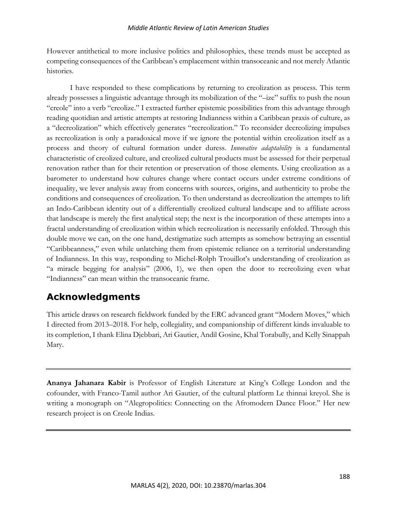However antithetical to more inclusive politics and philosophies, these trends must be accepted as competing consequences of the Caribbean's emplacement within transoceanic and not merely Atlantic histories.

I have responded to these complications by returning to creolization as process. This term already possesses a linguistic advantage through its mobilization of the "–ize" suffix to push the noun "creole" into a verb "creolize." I extracted further epistemic possibilities from this advantage through reading quotidian and artistic attempts at restoring Indianness within a Caribbean praxis of culture, as a "decreolization" which effectively generates "recreolization." To reconsider decreolizing impulses as recreolization is only a paradoxical move if we ignore the potential within creolization itself as a process and theory of cultural formation under duress. *Innovative adaptability* is a fundamental characteristic of creolized culture, and creolized cultural products must be assessed for their perpetual renovation rather than for their retention or preservation of those elements. Using creolization as a barometer to understand how cultures change where contact occurs under extreme conditions of inequality, we lever analysis away from concerns with sources, origins, and authenticity to probe the conditions and consequences of creolization. To then understand as decreolization the attempts to lift an Indo-Caribbean identity out of a differentially creolized cultural landscape and to affiliate across that landscape is merely the first analytical step; the next is the incorporation of these attempts into a fractal understanding of creolization within which recreolization is necessarily enfolded. Through this double move we can, on the one hand, destigmatize such attempts as somehow betraying an essential "Caribbeanness," even while unlatching them from epistemic reliance on a territorial understanding of Indianness. In this way, responding to Michel-Rolph Trouillot's understanding of creolization as "a miracle begging for analysis" (2006, 1), we then open the door to recreolizing even what "Indianness" can mean within the transoceanic frame.

# **Acknowledgments**

This article draws on research fieldwork funded by the ERC advanced grant "Modern Moves," which I directed from 2013–2018. For help, collegiality, and companionship of different kinds invaluable to its completion, I thank Elina Djebbari, Ari Gautier, Andil Gosine, Khal Torabully, and Kelly Sinappah Mary.

**Ananya Jahanara Kabir** is Professor of English Literature at King's College London and the cofounder, with Franco-Tamil author Ari Gautier, of the cultural platform Le thinnai kreyol. She is writing a monograph on "Alegropolitics: Connecting on the Afromodern Dance Floor." Her new research project is on Creole Indias.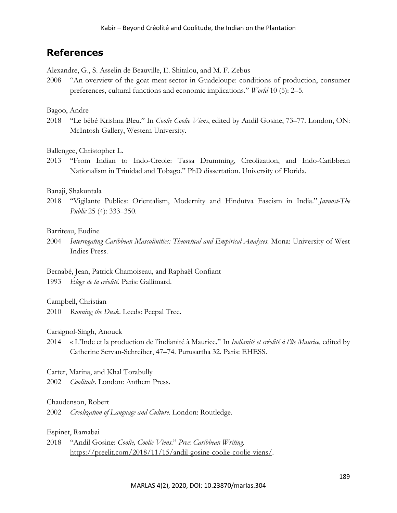# **References**

Alexandre, G., S. Asselin de Beauville, E. Shitalou, and M. F. Zebus

2008 "An overview of the goat meat sector in Guadeloupe: conditions of production, consumer preferences, cultural functions and economic implications." *World* 10 (5): 2–5.

## Bagoo, Andre

2018 "Le bébé Krishna Bleu." In *Coolie Coolie Viens*, edited by Andil Gosine, 73–77. London, ON: McIntosh Gallery, Western University.

# Ballengee, Christopher L.

2013 "From Indian to Indo-Creole: Tassa Drumming, Creolization, and Indo-Caribbean Nationalism in Trinidad and Tobago." PhD dissertation. University of Florida.

# Banaji, Shakuntala

2018 "Vigilante Publics: Orientalism, Modernity and Hindutva Fascism in India." *Javnost-The Public* 25 (4): 333–350.

# Barriteau, Eudine

- 2004 *Interrogating Caribbean Masculinities: Theoretical and Empirical Analyses*. Mona: University of West Indies Press.
- Bernabé, Jean, Patrick Chamoiseau, and Raphaël Confiant 1993 *Éloge de la créolité*. Paris: Gallimard.

## Campbell, Christian

2010 *Running the Dusk*. Leeds: Peepal Tree.

Carsignol-Singh, Anouck

2014 « L'Inde et la production de l'indianité à Maurice." In *Indianité et créolité à l'île Maurice,* edited by Catherine Servan-Schreiber, 47–74. Purusartha 32. Paris: EHESS.

Carter, Marina, and Khal Torabully

2002 *Coolitude*. London: Anthem Press.

# Chaudenson, Robert

2002 *Creolization of Language and Culture*. London: Routledge.

## Espinet, Ramabai

2018 "Andil Gosine: *Coolie, Coolie Viens*." *Pree: Caribbean Writing*. https://preelit.com/2018/11/15/andil-gosine-coolie-coolie-viens/.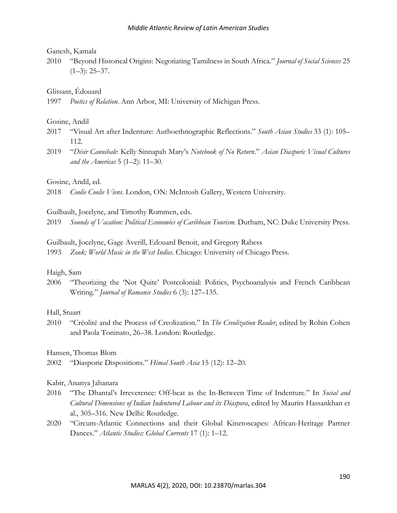#### Ganesh, Kamala

2010 "Beyond Historical Origins: Negotiating Tamilness in South Africa." *Journal of Social Sciences* 25  $(1-3)$ : 25-37.

Glissant, Édouard

1997 *Poetics of Relation*. Ann Arbor, MI: University of Michigan Press.

#### Gosine, Andil

- 2017 "Visual Art after Indenture: Authoethnographic Reflections." *South Asian Studies* 33 (1): 105– 112.
- 2019 "*Désir Cannibale*: Kelly Sinnapah Mary's *Notebook of No Return*." *Asian Diasporic Visual Cultures and the Americas* 5 (1–2): 11–30.

Gosine, Andil, ed.

2018 *Coolie Coolie Viens*. London, ON: McIntosh Gallery, Western University.

Guilbault, Jocelyne, and Timothy Rommen, eds.

2019 *Sounds of Vacation: Political Economies of Caribbean Tourism*. Durham, NC: Duke University Press.

Guilbault, Jocelyne, Gage Averill, Edouard Benoit, and Gregory Rabess

1993 *Zouk: World Music in the West Indies*. Chicago: University of Chicago Press.

## Haigh, Sam

2006 "Theorizing the 'Not Quite' Postcolonial: Politics, Psychoanalysis and French Caribbean Writing." *Journal of Romance Studies* 6 (3): 127–135.

## Hall, Stuart

2010 "Créolité and the Process of Creolization." In *The Creolization Reader*, edited by Robin Cohen and Paola Toninato, 26–38. London: Routledge.

## Hansen, Thomas Blom

2002 "Diasporic Dispositions." *Himal South Asia* 15 (12): 12–20.

## Kabir, Ananya Jahanara

- 2016 "The Dhantal's Irreverence: Off-beat as the In-Between Time of Indenture." In *Social and Cultural Dimensions of Indian Indentured Labour and its Diaspora*, edited by Maurits Hassankhan et al., 305–316. New Delhi: Routledge.
- 2020 "Circum-Atlantic Connections and their Global Kinetoscapes: African-Heritage Partner Dances." *Atlantic Studies: Global Currents* 17 (1): 1–12.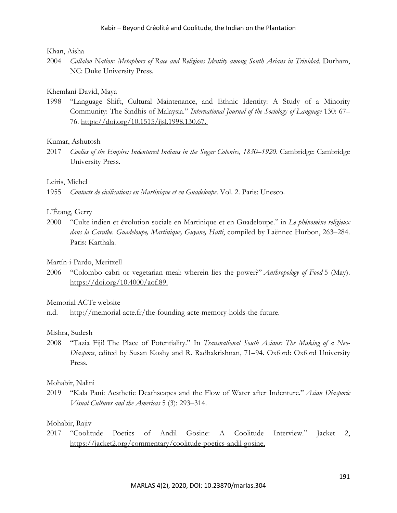#### Khan, Aisha

2004 *Callaloo Nation: Metaphors of Race and Religious Identity among South Asians in Trinidad*. Durham, NC: Duke University Press.

## Khemlani-David, Maya

1998 "Language Shift, Cultural Maintenance, and Ethnic Identity: A Study of a Minority Community: The Sindhis of Malaysia." *International Journal of the Sociology of Language* 130: 67– 76. https://doi.org/10.1515/ijsl.1998.130.67.

# Kumar, Ashutosh

2017 *Coolies of the Empire: Indentured Indians in the Sugar Colonies, 1830–1920*. Cambridge: Cambridge University Press.

# Leiris, Michel

1955 *Contacts de civilisations en Martinique et en Guadeloupe*. Vol. 2. Paris: Unesco.

# L'Étang, Gerry

2000 "Culte indien et évolution sociale en Martinique et en Guadeloupe." in *Le phénomène religieux dans la Caraïbe. Guadeloupe, Martinique, Guyane, Haïti*, compiled by Laënnec Hurbon, 263–284. Paris: Karthala.

## Martín-i-Pardo, Meritxell

2006 "Colombo cabri or vegetarian meal: wherein lies the power?" *Anthropology of Food* 5 (May). https://doi.org/10.4000/aof.89.

## Memorial ACTe website

n.d. http://memorial-acte.fr/the-founding-acte-memory-holds-the-future.

## Mishra, Sudesh

2008 "Tazia Fiji! The Place of Potentiality." In *Transnational South Asians: The Making of a Neo-Diaspora*, edited by Susan Koshy and R. Radhakrishnan, 71–94. Oxford: Oxford University Press.

## Mohabir, Nalini

2019 "Kala Pani: Aesthetic Deathscapes and the Flow of Water after Indenture." *Asian Diasporic Visual Cultures and the Americas* 5 (3): 293–314.

# Mohabir, Rajiv

2017 "Coolitude Poetics of Andil Gosine: A Coolitude Interview." Jacket 2, https://jacket2.org/commentary/coolitude-poetics-andil-gosine,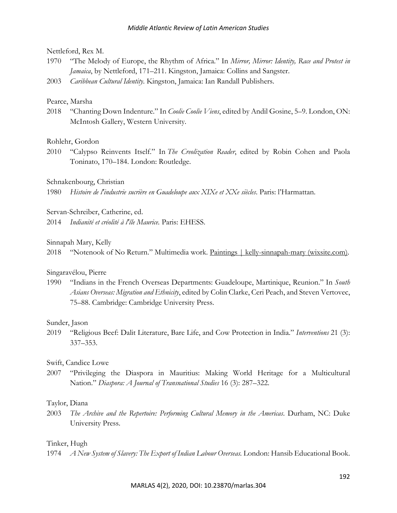#### Nettleford, Rex M.

- 1970 "The Melody of Europe, the Rhythm of Africa." In *Mirror, Mirror: Identity, Race and Protest in Jamaica*, by Nettleford, 171–211. Kingston, Jamaica: Collins and Sangster.
- 2003 *Caribbean Cultural Identity*. Kingston, Jamaica: Ian Randall Publishers.

#### Pearce, Marsha

2018 "Chanting Down Indenture." In *Coolie Coolie Viens*, edited by Andil Gosine, 5–9. London, ON: McIntosh Gallery, Western University.

#### Rohlehr, Gordon

2010 "Calypso Reinvents Itself." In *The Creolization Reader*, edited by Robin Cohen and Paola Toninato, 170–184. London: Routledge.

#### Schnakenbourg, Christian

1980 *Histoire de l'industrie sucrière en Guadeloupe aux XIXe et XXe siècles*. Paris: l'Harmattan.

Servan-Schreiber, Catherine, ed.

2014 *Indianité et créolité à l'île Maurice.* Paris: EHESS.

#### Sinnapah Mary, Kelly

2018 "Notenook of No Return." Multimedia work. Paintings | kelly-sinnapah-mary (wixsite.com).

#### Singaravélou, Pierre

1990 "Indians in the French Overseas Departments: Guadeloupe, Martinique, Reunion." In *South Asians Overseas: Migration and Ethnicity*, edited by Colin Clarke, Ceri Peach, and Steven Vertovec, 75–88. Cambridge: Cambridge University Press.

#### Sunder, Jason

2019 "Religious Beef: Dalit Literature, Bare Life, and Cow Protection in India." *Interventions* 21 (3): 337–353.

#### Swift, Candice Lowe

2007 "Privileging the Diaspora in Mauritius: Making World Heritage for a Multicultural Nation." *Diaspora: A Journal of Transnational Studies* 16 (3): 287–322.

#### Taylor, Diana

2003 *The Archive and the Repertoire: Performing Cultural Memory in the Americas*. Durham, NC: Duke University Press.

#### Tinker, Hugh

1974 *A New System of Slavery: The Export of Indian Labour Overseas.* London: Hansib Educational Book.